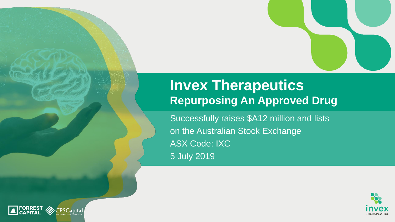### **Invex Therapeutics Repurposing An Approved Drug**

Successfully raises \$A12 million and lists on the Australian Stock Exchange ASX Code: IXC 5 July 2019



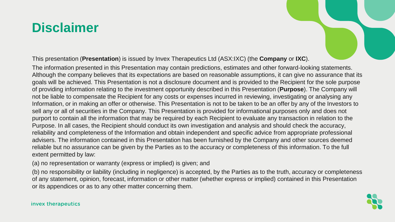### **Disclaimer**



The information presented in this Presentation may contain predictions, estimates and other forward-looking statements. Although the company believes that its expectations are based on reasonable assumptions, it can give no assurance that its goals will be achieved. This Presentation is not a disclosure document and is provided to the Recipient for the sole purpose of providing information relating to the investment opportunity described in this Presentation (**Purpose**). The Company will not be liable to compensate the Recipient for any costs or expenses incurred in reviewing, investigating or analysing any Information, or in making an offer or otherwise. This Presentation is not to be taken to be an offer by any of the Investors to sell any or all of securities in the Company. This Presentation is provided for informational purposes only and does not purport to contain all the information that may be required by each Recipient to evaluate any transaction in relation to the Purpose. In all cases, the Recipient should conduct its own investigation and analysis and should check the accuracy, reliability and completeness of the Information and obtain independent and specific advice from appropriate professional advisers. The information contained in this Presentation has been furnished by the Company and other sources deemed reliable but no assurance can be given by the Parties as to the accuracy or completeness of this information. To the full extent permitted by law:

(a) no representation or warranty (express or implied) is given; and

(b) no responsibility or liability (including in negligence) is accepted, by the Parties as to the truth, accuracy or completeness of any statement, opinion, forecast, information or other matter (whether express or implied) contained in this Presentation or its appendices or as to any other matter concerning them.

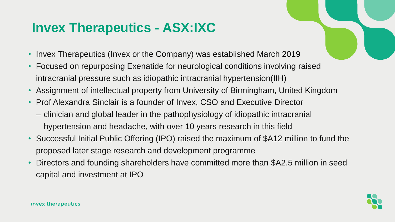# **Invex Therapeutics - ASX:IXC**

- Invex Therapeutics (Invex or the Company) was established March 2019
- Focused on repurposing Exenatide for neurological conditions involving raised intracranial pressure such as idiopathic intracranial hypertension(IIH)
- Assignment of intellectual property from University of Birmingham, United Kingdom
- Prof Alexandra Sinclair is a founder of Invex, CSO and Executive Director
	- clinician and global leader in the pathophysiology of idiopathic intracranial hypertension and headache, with over 10 years research in this field
- Successful Initial Public Offering (IPO) raised the maximum of \$A12 million to fund the proposed later stage research and development programme
- Directors and founding shareholders have committed more than \$A2.5 million in seed capital and investment at IPO

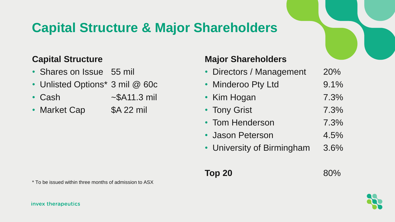# **Capital Structure & Major Shareholders**

### **Capital Structure**

- Shares on Issue 55 mil
- Unlisted Options\* 3 mil @ 60c
- Cash ~\$A11.3 mil
- Market Cap \$A 22 mil

### **Major Shareholders**

| • Directors / Management   | 20%  |
|----------------------------|------|
| • Minderoo Pty Ltd         | 9.1% |
| • Kim Hogan                | 7.3% |
| • Tony Grist               | 7.3% |
| • Tom Henderson            | 7.3% |
| • Jason Peterson           | 4.5% |
| • University of Birmingham | 3.6% |

**Top 20** 80%

\* To be issued within three months of admission to ASX

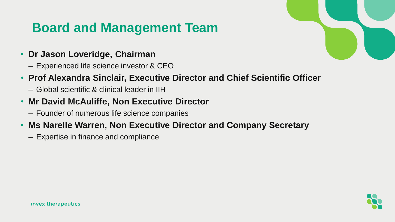# **Board and Management Team**

- **Dr Jason Loveridge, Chairman**
	- Experienced life science investor & CEO
- **Prof Alexandra Sinclair, Executive Director and Chief Scientific Officer**
	- Global scientific & clinical leader in IIH
- **Mr David McAuliffe, Non Executive Director**
	- Founder of numerous life science companies
- **Ms Narelle Warren, Non Executive Director and Company Secretary**
	- Expertise in finance and compliance



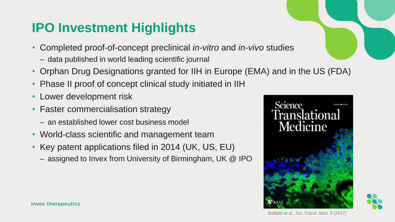# **IPO Investment Highlights**

- Completed proof-of-concept preclinical *in-vitro* and *in-vivo* studies
	- data published in world leading scientific journal
- Orphan Drug Designations granted for IIH in Europe (EMA) and in the US (FDA)
- Phase II proof of concept clinical study initiated in IIH
- Lower development risk
- Faster commercialisation strategy
	- an established lower cost business model
- World-class scientific and management team
- Key patent applications filed in 2014 (UK, US, EU)
	- assigned to Invex from University of Birmingham, UK @ IPO



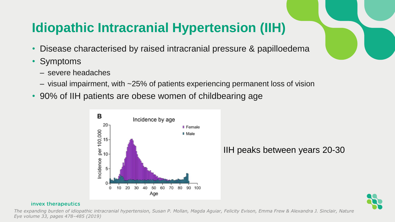# **Idiopathic Intracranial Hypertension (IIH)**

- Disease characterised by raised intracranial pressure & papilloedema
- **Symptoms** 
	- severe headaches
	- visual impairment, with ~25% of patients experiencing permanent loss of vision
- 90% of IIH patients are obese women of childbearing age



IIH peaks between years 20-30



#### invex therapeutics

*The expanding burden of idiopathic intracranial hypertension, Susan P. Mollan, Magda Aguiar, Felicity Evison, Emma Frew & Alexandra J. Sinclair, Nature Eye volume 33, pages 478–485 (2019)*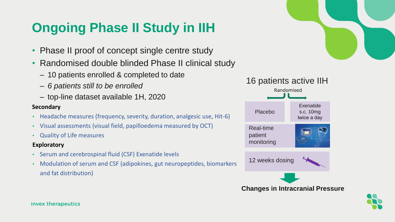# **Ongoing Phase II Study in IIH**

- Phase II proof of concept single centre study
- Randomised double blinded Phase II clinical study
	- 10 patients enrolled & completed to date
	- *6 patients still to be enrolled*
	- top-line dataset available 1H, 2020

### **Secondary**

- Headache measures (frequency, severity, duration, analgesic use, Hit-6)
- Visual assessments (visual field, papilloedema measured by OCT)
- Quality of Life measures

### **Exploratory**

- Serum and cerebrospinal fluid (CSF) Exenatide levels
- Modulation of serum and CSF (adipokines, gut neuropeptides, biomarkers and fat distribution)



### Real-time patient monitoring 16 patients active IIH Placebo Exenatide s.c. 10mg twice a day 12 weeks dosing Randomised **Changes in Intracranial Pressure**

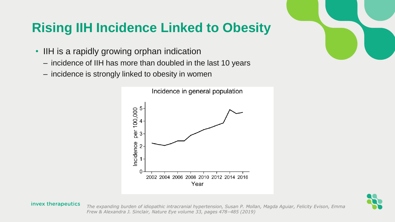# **Rising IIH Incidence Linked to Obesity**

- IIH is a rapidly growing orphan indication
	- incidence of IIH has more than doubled in the last 10 years
	- incidence is strongly linked to obesity in women



#### invex therapeutics

*The expanding burden of idiopathic intracranial hypertension, Susan P. Mollan, Magda Aguiar, Felicity Evison, Emma Frew & Alexandra J. Sinclair, Nature Eye volume 33, pages 478–485 (2019)* 



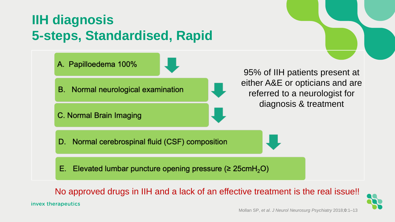# **IIH diagnosis 5-steps, Standardised, Rapid**

invex therapeutics



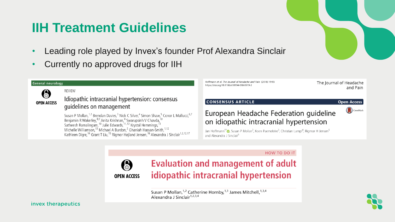### **IIH Treatment Guidelines**

- Leading role played by Invex's founder Prof Alexandra Sinclair
- Currently no approved drugs for IIH

#### **General neurology REVIEW** A Idiopathic intracranial hypertension: consensus **OPEN ACCESS** quidelines on management Susan P Mollan,<sup>1,2</sup> Brendan Davies,<sup>3</sup> Nick C Silver,<sup>4</sup> Simon Shaw,<sup>5</sup> Conor L Mallucci,<sup>6,7</sup> Benjamin R Wakerley, 8,9 Anita Krishnan,<sup>4</sup> Swarupsinh V Chavda,<sup>10</sup><br>Satheesh Ramalingam,<sup>10</sup> Julie Edwards,<sup>11,12</sup> Krystal Hemmings,<sup>13</sup><br>Michelle Williamson,<sup>13</sup> Michael A Burdon,<sup>2</sup> Ghaniah Hassan-Smith,<sup>1,12</sup>

Kathleen Digre,<sup>14</sup> Grant T Liu,<sup>15</sup> Rigmor Højland Jensen,<sup>16</sup> Alexandra J Sinclair<sup>1,2,12,17</sup>

Hoffmann et al. The Journal of Headache and Pain (2018) 19:93 https://doi.org/10.1186/s10194-018-0919-2

The Journal of Headache and Pain

#### **CONSENSUS ARTICLE**

#### **Open Access** CrossMark

### European Headache Federation guideline on idiopathic intracranial hypertension

Jan Hoffmann<sup>1\*</sup> D, Susan P Mollan<sup>2</sup>, Koen Paemeleire<sup>3</sup>, Christian Lampl<sup>4</sup>, Rigmor H Jensen<sup>5</sup> and Alexandra J Sinclair<sup>6</sup>

HOW TO DO IT



Susan P Mollan, <sup>1,2</sup> Catherine Hornby, <sup>1,3</sup> James Mitchell, <sup>1,3,4</sup><br>Alexandra J Sinclair<sup>1,2,3,4</sup>

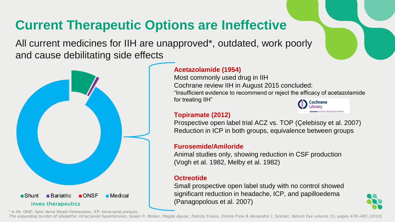## **Current Therapeutic Options are Ineffective**

All current medicines for IIH are unapproved\*, outdated, work poorly and cause debilitating side effects



### **Acetazolamide (1954)**

Most commonly used drug in IIH Cochrane review IIH in August 2015 concluded: "Insufficient evidence to recommend or reject the efficacy of acetazolamide for treating IIH" Cochrane

### **Topiramate (2012)**

Prospective open label trial ACZ vs. TOP (Çelebisoy et al. 2007) Reduction in ICP in both groups, equivalence between groups

### **Furosemide/Amiloride**

Animal studies only, showing reduction in CSF production (Vogh et al. 1982, Melby et al. 1982)

### **Octreotide**

Small prospective open label study with no control showed significant reduction in headache, ICP, and papilloedema (Panagopolous et al. 2007)



Database of Systematic Reviews

\* In IIH, ONSF: Optic Nerve Sheath Fenestration, ICP: Intracranial pressure,

*The expanding burden of idiopathic intracranial hypertension, Susan P. Mollan, Magda Aguiar, Felicity Evison, Emma Frew & Alexandra J. Sinclair, Nature Eye volume 33, pages 478–485 (2019)*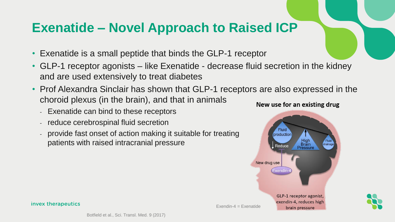### **Exenatide – Novel Approach to Raised ICP**

- Exenatide is a small peptide that binds the GLP-1 receptor
- GLP-1 receptor agonists like Exenatide decrease fluid secretion in the kidney and are used extensively to treat diabetes
- Prof Alexandra Sinclair has shown that GLP-1 receptors are also expressed in the choroid plexus (in the brain), and that in animals
	- Exenatide can bind to these receptors
	- reduce cerebrospinal fluid secretion
	- provide fast onset of action making it suitable for treating patients with raised intracranial pressure



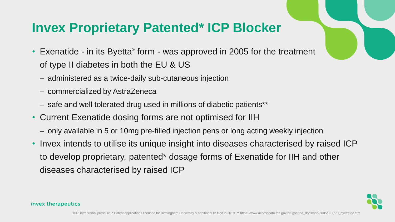### **Invex Proprietary Patented\* ICP Blocker**

- Exenatide in its Byetta<sup>®</sup> form was approved in 2005 for the treatment of type II diabetes in both the EU & US
	- administered as a twice-daily sub-cutaneous injection
	- commercialized by AstraZeneca
	- safe and well tolerated drug used in millions of diabetic patients\*\*
- Current Exenatide dosing forms are not optimised for IIH
	- only available in 5 or 10mg pre-filled injection pens or long acting weekly injection
- Invex intends to utilise its unique insight into diseases characterised by raised ICP to develop proprietary, patented\* dosage forms of Exenatide for IIH and other diseases characterised by raised ICP

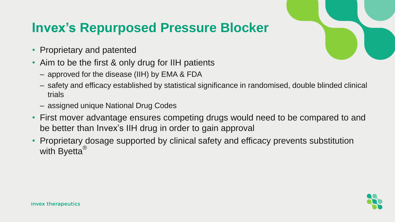### **Invex's Repurposed Pressure Blocker**

- Proprietary and patented
- Aim to be the first & only drug for IIH patients
	- approved for the disease (IIH) by EMA & FDA
	- safety and efficacy established by statistical significance in randomised, double blinded clinical trials
	- assigned unique National Drug Codes
- First mover advantage ensures competing drugs would need to be compared to and be better than Invex's IIH drug in order to gain approval
- Proprietary dosage supported by clinical safety and efficacy prevents substitution with Byetta<sup>®</sup>

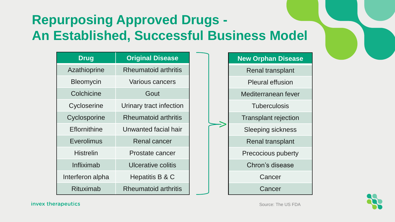# **Repurposing Approved Drugs - An Established, Successful Business Model**

| <b>Drug</b>      | <b>Original Disease</b>     |
|------------------|-----------------------------|
| Azathioprine     | <b>Rheumatoid arthritis</b> |
| <b>Bleomycin</b> | <b>Various cancers</b>      |
| Colchicine       | Gout                        |
| Cycloserine      | Urinary tract infection     |
| Cyclosporine     | <b>Rheumatoid arthritis</b> |
| Eflornithine     | Unwanted facial hair        |
| Everolimus       | Renal cancer                |
| <b>Histrelin</b> | Prostate cancer             |
| Infliximab       | Ulcerative colitis          |
| Interferon alpha | Hepatitis B & C             |
| Rituximab        | <b>Rheumatoid arthritis</b> |





invex therapeutics